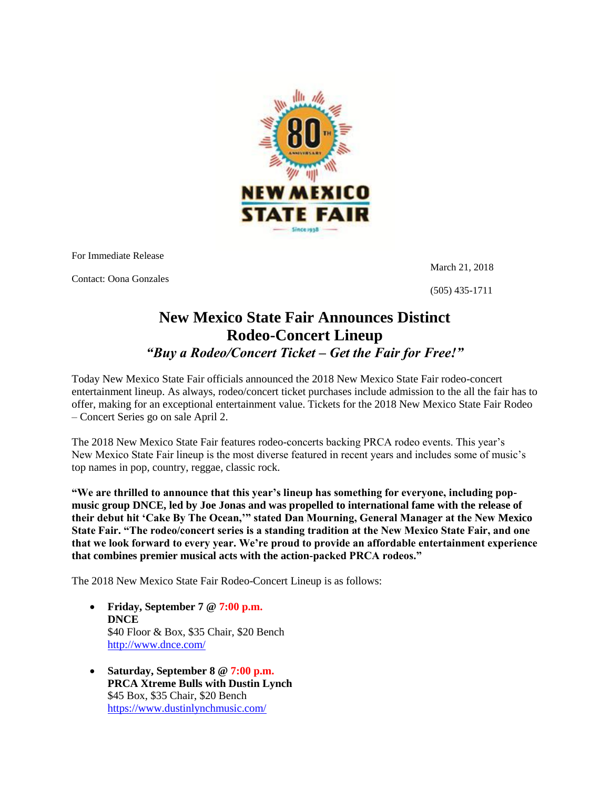

For Immediate Release

Contact: Oona Gonzales

March 21, 2018

(505) 435-1711

## **New Mexico State Fair Announces Distinct Rodeo-Concert Lineup** *"Buy a Rodeo/Concert Ticket – Get the Fair for Free!"*

Today New Mexico State Fair officials announced the 2018 New Mexico State Fair rodeo-concert entertainment lineup. As always, rodeo/concert ticket purchases include admission to the all the fair has to offer, making for an exceptional entertainment value. Tickets for the 2018 New Mexico State Fair Rodeo – Concert Series go on sale April 2.

The 2018 New Mexico State Fair features rodeo-concerts backing PRCA rodeo events. This year's New Mexico State Fair lineup is the most diverse featured in recent years and includes some of music's top names in pop, country, reggae, classic rock.

**"We are thrilled to announce that this year"s lineup has something for everyone, including popmusic group DNCE, led by Joe Jonas and was propelled to international fame with the release of their debut hit "Cake By The Ocean,"" stated Dan Mourning, General Manager at the New Mexico State Fair. "The rodeo/concert series is a standing tradition at the New Mexico State Fair, and one that we look forward to every year. We"re proud to provide an affordable entertainment experience that combines premier musical acts with the action-packed PRCA rodeos."**

The 2018 New Mexico State Fair Rodeo-Concert Lineup is as follows:

- **Friday, September 7 @ 7:00 p.m. DNCE** \$40 Floor & Box, \$35 Chair, \$20 Bench <http://www.dnce.com/>
- **Saturday, September 8 @ 7:00 p.m. PRCA Xtreme Bulls with Dustin Lynch** \$45 Box, \$35 Chair, \$20 Bench <https://www.dustinlynchmusic.com/>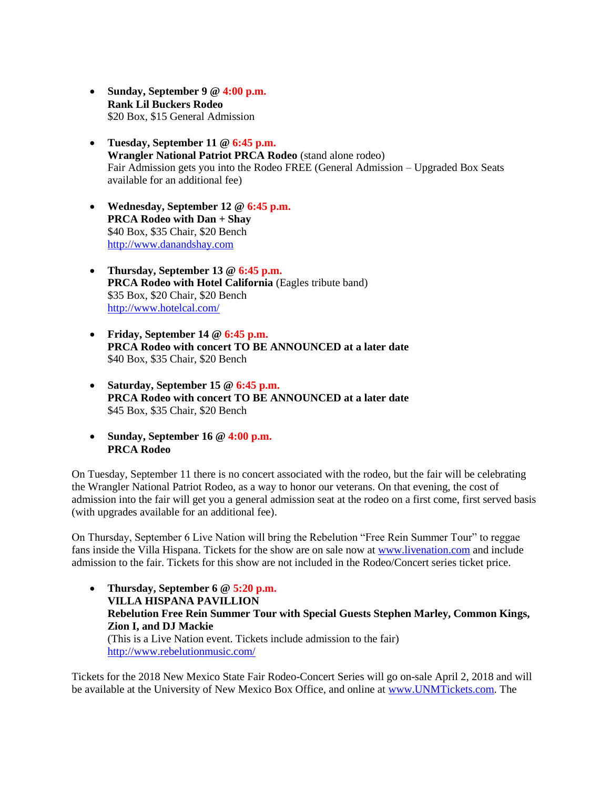- **Sunday, September 9 @ 4:00 p.m. Rank Lil Buckers Rodeo** \$20 Box, \$15 General Admission
- **Tuesday, September 11 @ 6:45 p.m. Wrangler National Patriot PRCA Rodeo** (stand alone rodeo) Fair Admission gets you into the Rodeo FREE (General Admission – Upgraded Box Seats available for an additional fee)
- **Wednesday, September 12 @ 6:45 p.m. PRCA Rodeo with Dan + Shay** \$40 Box, \$35 Chair, \$20 Bench [http://www.danandshay.com](http://www.danandshay.com/)
- **Thursday, September 13 @ 6:45 p.m. PRCA Rodeo with Hotel California** (Eagles tribute band) \$35 Box, \$20 Chair, \$20 Bench <http://www.hotelcal.com/>
- **Friday, September 14 @ 6:45 p.m. PRCA Rodeo with concert TO BE ANNOUNCED at a later date** \$40 Box, \$35 Chair, \$20 Bench
- **Saturday, September 15 @ 6:45 p.m. PRCA Rodeo with concert TO BE ANNOUNCED at a later date** \$45 Box, \$35 Chair, \$20 Bench
- **Sunday, September 16 @ 4:00 p.m. PRCA Rodeo**

On Tuesday, September 11 there is no concert associated with the rodeo, but the fair will be celebrating the Wrangler National Patriot Rodeo, as a way to honor our veterans. On that evening, the cost of admission into the fair will get you a general admission seat at the rodeo on a first come, first served basis (with upgrades available for an additional fee).

On Thursday, September 6 Live Nation will bring the Rebelution "Free Rein Summer Tour" to reggae fans inside the Villa Hispana. Tickets for the show are on sale now at [www.livenation.com](http://www.livenation.com/) and include admission to the fair. Tickets for this show are not included in the Rodeo/Concert series ticket price.

 **Thursday, September 6 @ 5:20 p.m. VILLA HISPANA PAVILLION Rebelution Free Rein Summer Tour with Special Guests Stephen Marley, Common Kings, Zion I, and DJ Mackie** (This is a Live Nation event. Tickets include admission to the fair) <http://www.rebelutionmusic.com/>

Tickets for the 2018 New Mexico State Fair Rodeo-Concert Series will go on-sale April 2, 2018 and will be available at the University of New Mexico Box Office, and online at [www.UNMTickets.com.](www.UNMTickets.com) The